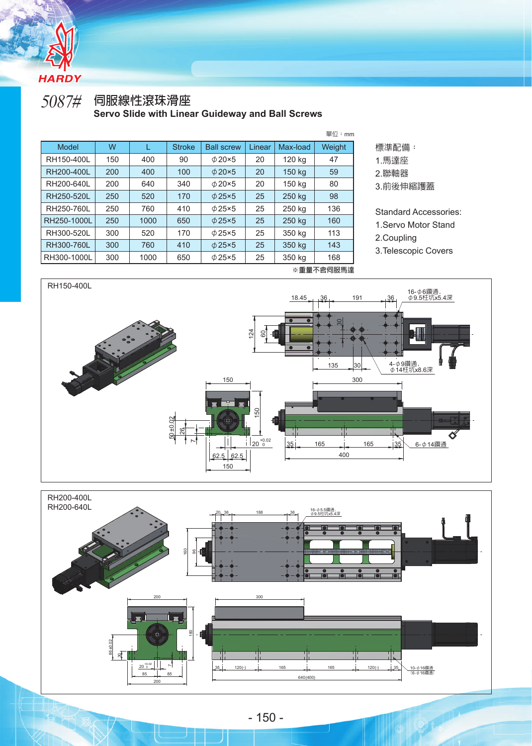

**RHC** 

## 5087# **伺服線性滾珠滑座 Servo Slide with Linear Guideway and Ball Screws**

|                                    |     |      |               |                   |        |          | 單位:mm  |
|------------------------------------|-----|------|---------------|-------------------|--------|----------|--------|
| Model                              | W   |      | <b>Stroke</b> | <b>Ball screw</b> | Linear | Max-load | Weight |
| RH150-400L                         | 150 | 400  | 90            | $\phi$ 20×5       | 20     | 120 kg   | 47     |
| RH200-400L                         | 200 | 400  | 100           | $\phi$ 20×5       | 20     | 150 kg   | 59     |
| RH200-640L                         | 200 | 640  | 340           | $\phi$ 20×5       | 20     | 150 kg   | 80     |
| RH250-520L                         | 250 | 520  | 170           | $\phi$ 25×5       | 25     | 250 kg   | 98     |
| RH250-760L                         | 250 | 760  | 410           | $\phi$ 25×5       | 25     | 250 kg   | 136    |
| RH250-1000L                        | 250 | 1000 | 650           | $\phi$ 25×5       | 25     | 250 kg   | 160    |
| RH300-520L                         | 300 | 520  | 170           | $\phi$ 25×5       | 25     | 350 kg   | 113    |
| RH300-760L                         | 300 | 760  | 410           | $\phi$ 25×5       | 25     | 350 kg   | 143    |
| RH300-1000L                        | 300 | 1000 | 650           | $\phi$ 25×5       | 25     | 350 kg   | 168    |
| $\ldots = = - \leftarrow$ concrete |     |      |               |                   |        |          |        |



2.聯軸器

3.前後伸縮護蓋

Standard Accessories:

- 1.Servo Motor Stand
- 2.Coupling
- 3.Telescopic Covers